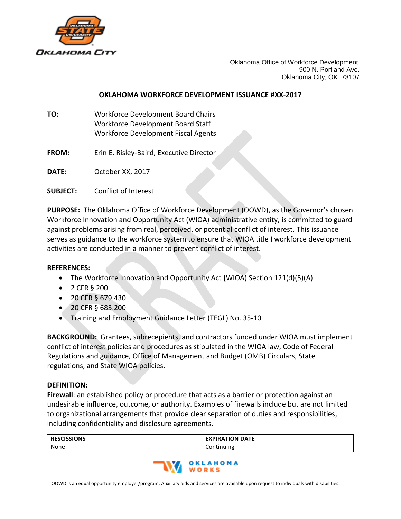

Oklahoma Office of Workforce Development 900 N. Portland Ave. Oklahoma City, OK 73107

## **OKLAHOMA WORKFORCE DEVELOPMENT ISSUANCE #XX-2017**

- **TO:** Workforce Development Board Chairs Workforce Development Board Staff Workforce Development Fiscal Agents
- **FROM:** Erin E. Risley-Baird, Executive Director

**DATE:** October XX, 2017

**SUBJECT:** Conflict of Interest

**PURPOSE:** The Oklahoma Office of Workforce Development (OOWD), as the Governor's chosen Workforce Innovation and Opportunity Act (WIOA) administrative entity, is committed to guard against problems arising from real, perceived, or potential conflict of interest. This issuance serves as guidance to the workforce system to ensure that WIOA title I workforce development activities are conducted in a manner to prevent conflict of interest.

## **REFERENCES:**

- The Workforce Innovation and Opportunity Act **(**WIOA) Section 121(d)(5)(A)
- 2 CFR § 200
- 20 CFR § 679.430
- 20 CFR § 683.200
- Training and Employment Guidance Letter (TEGL) No. 35-10

**BACKGROUND:** Grantees, subrecepients, and contractors funded under WIOA must implement conflict of interest policies and procedures as stipulated in the WIOA law, Code of Federal Regulations and guidance, Office of Management and Budget (OMB) Circulars, State regulations, and State WIOA policies.

## **DEFINITION:**

**Firewall**: an established policy or procedure that acts as a barrier or protection against an undesirable influence, outcome, or authority. Examples of firewalls include but are not limited to organizational arrangements that provide clear separation of duties and responsibilities, including confidentiality and disclosure agreements.

| <b>RESCISSIONS</b> | <b>EXPIRATION DATE</b> |
|--------------------|------------------------|
| None               | Continuing             |

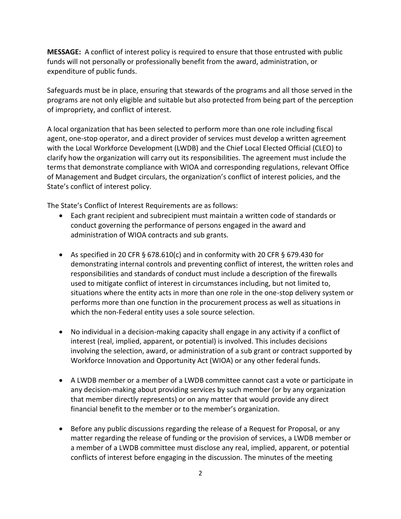**MESSAGE:** A conflict of interest policy is required to ensure that those entrusted with public funds will not personally or professionally benefit from the award, administration, or expenditure of public funds.

Safeguards must be in place, ensuring that stewards of the programs and all those served in the programs are not only eligible and suitable but also protected from being part of the perception of impropriety, and conflict of interest.

A local organization that has been selected to perform more than one role including fiscal agent, one-stop operator, and a direct provider of services must develop a written agreement with the Local Workforce Development (LWDB) and the Chief Local Elected Official (CLEO) to clarify how the organization will carry out its responsibilities. The agreement must include the terms that demonstrate compliance with WIOA and corresponding regulations, relevant Office of Management and Budget circulars, the organization's conflict of interest policies, and the State's conflict of interest policy.

The State's Conflict of Interest Requirements are as follows:

- Each grant recipient and subrecipient must maintain a written code of standards or conduct governing the performance of persons engaged in the award and administration of WIOA contracts and sub grants.
- As specified in 20 CFR § 678.610(c) and in conformity with 20 CFR § 679.430 for demonstrating internal controls and preventing conflict of interest, the written roles and responsibilities and standards of conduct must include a description of the firewalls used to mitigate conflict of interest in circumstances including, but not limited to, situations where the entity acts in more than one role in the one-stop delivery system or performs more than one function in the procurement process as well as situations in which the non-Federal entity uses a sole source selection.
- No individual in a decision-making capacity shall engage in any activity if a conflict of interest (real, implied, apparent, or potential) is involved. This includes decisions involving the selection, award, or administration of a sub grant or contract supported by Workforce Innovation and Opportunity Act (WIOA) or any other federal funds.
- A LWDB member or a member of a LWDB committee cannot cast a vote or participate in any decision-making about providing services by such member (or by any organization that member directly represents) or on any matter that would provide any direct financial benefit to the member or to the member's organization.
- Before any public discussions regarding the release of a Request for Proposal, or any matter regarding the release of funding or the provision of services, a LWDB member or a member of a LWDB committee must disclose any real, implied, apparent, or potential conflicts of interest before engaging in the discussion. The minutes of the meeting